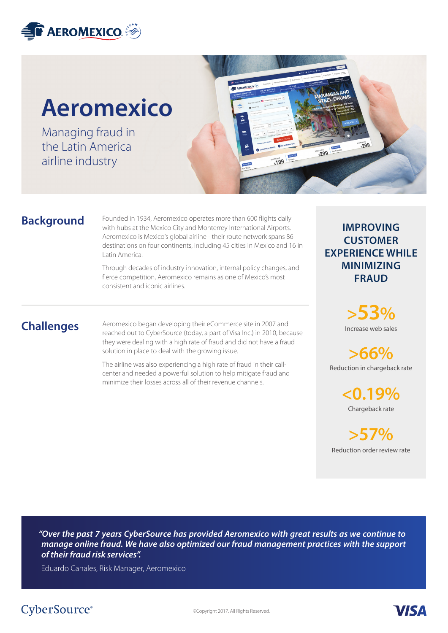

# **Aeromexico**

Managing fraud in the Latin America airline industry



#### **Background**

Founded in 1934, Aeromexico operates more than 600 flights daily with hubs at the Mexico City and Monterrey International Airports. Aeromexico is Mexico's global airline - their route network spans 86 destinations on four continents, including 45 cities in Mexico and 16 in Latin America.

Through decades of industry innovation, internal policy changes, and fierce competition, Aeromexico remains as one of Mexico's most consistent and iconic airlines.

## **Challenges**

Aeromexico began developing their eCommerce site in 2007 and reached out to CyberSource (today, a part of Visa Inc.) in 2010, because they were dealing with a high rate of fraud and did not have a fraud solution in place to deal with the growing issue.

The airline was also experiencing a high rate of fraud in their callcenter and needed a powerful solution to help mitigate fraud and minimize their losses across all of their revenue channels.

#### **IMPROVING CUSTOMER EXPERIENCE WHILE MINIMIZING FRAUD**

Increase web sales **>53%**

Reduction in chargeback rate **>66%**

> Chargeback rate **<0.19%**

Reduction order review rate **>57%**

**VISA** 

*"Over the past 7 years CyberSource has provided Aeromexico with great results as we continue to manage online fraud. We have also optimized our fraud management practices with the support of their fraud risk services".*

Eduardo Canales, Risk Manager, Aeromexico

# CyberSource<sup>®</sup>